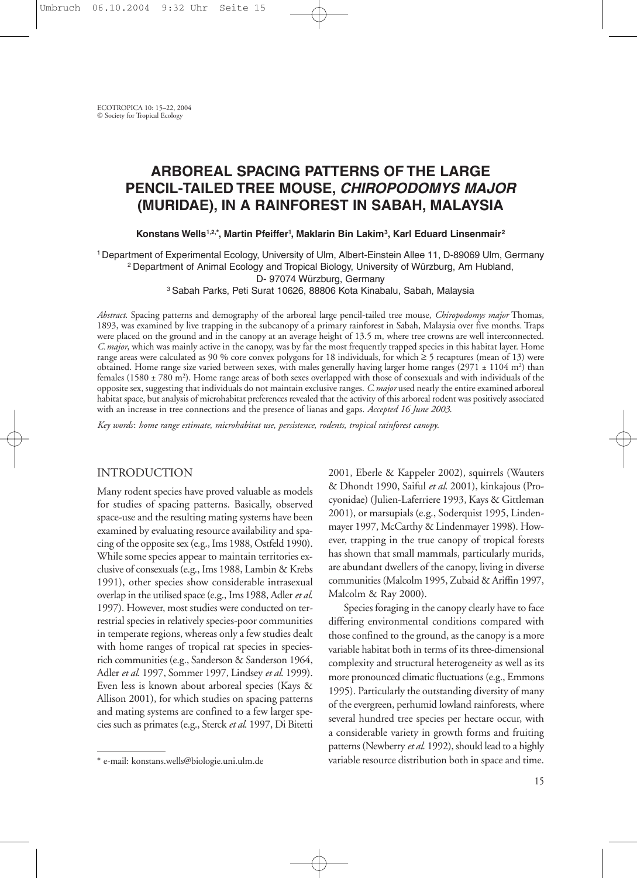# **ARBOREAL SPACING PATTERNS OF THE LARGE PENCIL-TAILED TREE MOUSE,** *CHIROPODOMYS MAJOR* **(MURIDAE), IN A RAINFOREST IN SABAH, MALAYSIA**

**Konstans Wells1,2,\*, Martin Pfeiffer1 , Maklarin Bin Lakim3, Karl Eduard Linsenmair2**

<sup>1</sup> Department of Experimental Ecology, University of Ulm, Albert-Einstein Allee 11, D-89069 Ulm, Germany <sup>2</sup> Department of Animal Ecology and Tropical Biology, University of Würzburg, Am Hubland,

D- 97074 Würzburg, Germany

<sup>3</sup> Sabah Parks, Peti Surat 10626, 88806 Kota Kinabalu, Sabah, Malaysia

*Abstract*. Spacing patterns and demography of the arboreal large pencil-tailed tree mouse, *Chiropodomys major* Thomas, 1893, was examined by live trapping in the subcanopy of a primary rainforest in Sabah, Malaysia over five months. Traps were placed on the ground and in the canopy at an average height of 13.5 m, where tree crowns are well interconnected. *C.major*, which was mainly active in the canopy, was by far the most frequently trapped species in this habitat layer. Home range areas were calculated as 90 % core convex polygons for 18 individuals, for which ≥ 5 recaptures (mean of 13) were obtained. Home range size varied between sexes, with males generally having larger home ranges (2971  $\pm$  1104 m<sup>2</sup>) than females (1580 ± 780 m2 ). Home range areas of both sexes overlapped with those of consexuals and with individuals of the opposite sex, suggesting that individuals do not maintain exclusive ranges. *C.major* used nearly the entire examined arboreal habitat space, but analysis of microhabitat preferences revealed that the activity of this arboreal rodent was positively associated with an increase in tree connections and the presence of lianas and gaps. *Accepted 16 June 2003*.

*Key words*: *home range estimate*, *microhabitat use*, *persistence*, *rodents*, *tropical rainforest canopy*.

### INTRODUCTION

Many rodent species have proved valuable as models for studies of spacing patterns. Basically, observed space-use and the resulting mating systems have been examined by evaluating resource availability and spacing of the opposite sex (e.g., Ims 1988, Ostfeld 1990). While some species appear to maintain territories exclusive of consexuals (e.g., Ims 1988, Lambin & Krebs 1991), other species show considerable intrasexual overlap in the utilised space (e.g., Ims 1988, Adler *et al*. 1997). However, most studies were conducted on terrestrial species in relatively species-poor communities in temperate regions, whereas only a few studies dealt with home ranges of tropical rat species in speciesrich communities (e.g., Sanderson & Sanderson 1964, Adler *et al*. 1997, Sommer 1997, Lindsey *et al*. 1999). Even less is known about arboreal species (Kays & Allison 2001), for which studies on spacing patterns and mating systems are confined to a few larger species such as primates (e.g., Sterck *et al*. 1997, Di Bitetti

2001, Eberle & Kappeler 2002), squirrels (Wauters & Dhondt 1990, Saiful *et al*. 2001), kinkajous (Procyonidae) (Julien-Laferriere 1993, Kays & Gittleman 2001), or marsupials (e.g., Soderquist 1995, Lindenmayer 1997, McCarthy & Lindenmayer 1998). However, trapping in the true canopy of tropical forests has shown that small mammals, particularly murids, are abundant dwellers of the canopy, living in diverse communities (Malcolm 1995, Zubaid & Ariffin 1997, Malcolm & Ray 2000).

Species foraging in the canopy clearly have to face differing environmental conditions compared with those confined to the ground, as the canopy is a more variable habitat both in terms of its three-dimensional complexity and structural heterogeneity as well as its more pronounced climatic fluctuations (e.g., Emmons 1995). Particularly the outstanding diversity of many of the evergreen, perhumid lowland rainforests, where several hundred tree species per hectare occur, with a considerable variety in growth forms and fruiting patterns (Newberry *et al*. 1992), should lead to a highly variable resource distribution both in space and time.

<sup>\*</sup> e-mail: konstans.wells@biologie.uni.ulm.de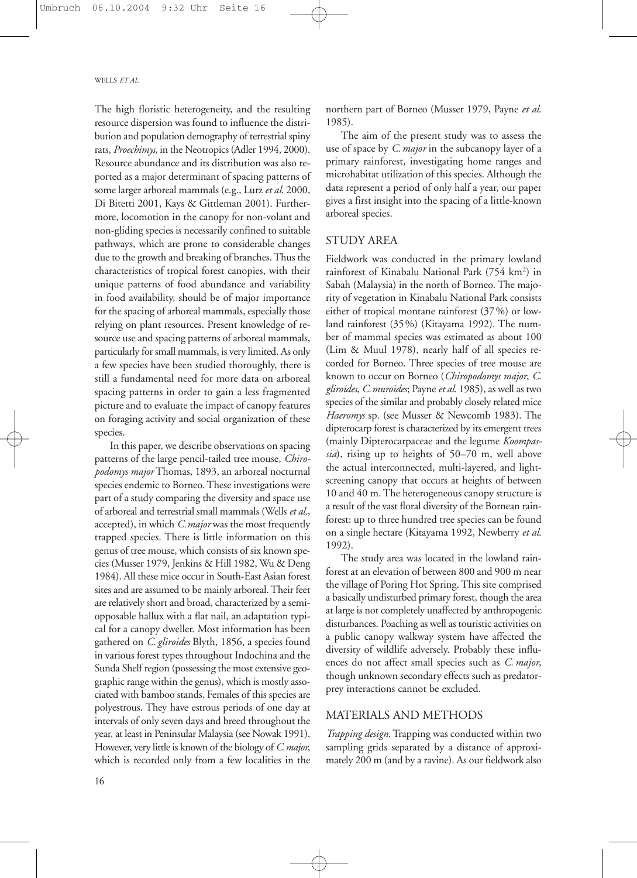The high floristic heterogeneity, and the resulting resource dispersion was found to influence the distribution and population demography of terrestrial spiny rats, *Proechimys*, in the Neotropics (Adler 1994, 2000). Resource abundance and its distribution was also reported as a major determinant of spacing patterns of some larger arboreal mammals (e.g., Lurz *et al*. 2000, Di Bitetti 2001, Kays & Gittleman 2001). Furthermore, locomotion in the canopy for non-volant and non-gliding species is necessarily confined to suitable pathways, which are prone to considerable changes due to the growth and breaking of branches. Thus the characteristics of tropical forest canopies, with their unique patterns of food abundance and variability in food availability, should be of major importance for the spacing of arboreal mammals, especially those relying on plant resources. Present knowledge of resource use and spacing patterns of arboreal mammals, particularly for small mammals, is very limited. As only a few species have been studied thoroughly, there is still a fundamental need for more data on arboreal spacing patterns in order to gain a less fragmented picture and to evaluate the impact of canopy features on foraging activity and social organization of these species.

In this paper, we describe observations on spacing patterns of the large pencil-tailed tree mouse, *Chiropodomys major* Thomas, 1893, an arboreal nocturnal species endemic to Borneo. These investigations were part of a study comparing the diversity and space use of arboreal and terrestrial small mammals (Wells *et al*., accepted), in which *C.major* was the most frequently trapped species. There is little information on this genus of tree mouse, which consists of six known species (Musser 1979, Jenkins & Hill 1982, Wu & Deng 1984). All these mice occur in South-East Asian forest sites and are assumed to be mainly arboreal. Their feet are relatively short and broad, characterized by a semiopposable hallux with a flat nail, an adaptation typical for a canopy dweller. Most information has been gathered on *C. gliroides* Blyth, 1856, a species found in various forest types throughout Indochina and the Sunda Shelf region (possessing the most extensive geographic range within the genus), which is mostly associated with bamboo stands. Females of this species are polyestrous. They have estrous periods of one day at intervals of only seven days and breed throughout the year, at least in Peninsular Malaysia (see Nowak 1991). However, very little is known of the biology of *C.major*, which is recorded only from a few localities in the

16

northern part of Borneo (Musser 1979, Payne *et al*. 1985).

The aim of the present study was to assess the use of space by *C.major* in the subcanopy layer of a primary rainforest, investigating home ranges and microhabitat utilization of this species. Although the data represent a period of only half a year, our paper gives a first insight into the spacing of a little-known arboreal species.

## STUDY AREA

Fieldwork was conducted in the primary lowland rainforest of Kinabalu National Park (754 km2) in Sabah (Malaysia) in the north of Borneo. The majority of vegetation in Kinabalu National Park consists either of tropical montane rainforest (37%) or lowland rainforest (35%) (Kitayama 1992). The number of mammal species was estimated as about 100 (Lim & Muul 1978), nearly half of all species recorded for Borneo. Three species of tree mouse are known to occur on Borneo (*Chiropodomys major*, *C*. *gliroides*, *C.muroides*; Payne *et al*. 1985), as well as two species of the similar and probably closely related mice *Haeromys* sp. (see Musser & Newcomb 1983). The dipterocarp forest is characterized by its emergent trees (mainly Dipterocarpaceae and the legume *Koompassia*), rising up to heights of 50–70 m, well above the actual interconnected, multi-layered, and lightscreening canopy that occurs at heights of between 10 and 40 m. The heterogeneous canopy structure is a result of the vast floral diversity of the Bornean rainforest: up to three hundred tree species can be found on a single hectare (Kitayama 1992, Newberry *et al*. 1992).

The study area was located in the lowland rainforest at an elevation of between 800 and 900 m near the village of Poring Hot Spring. This site comprised a basically undisturbed primary forest, though the area at large is not completely unaffected by anthropogenic disturbances. Poaching as well as touristic activities on a public canopy walkway system have affected the diversity of wildlife adversely. Probably these influences do not affect small species such as *C. major*, though unknown secondary effects such as predatorprey interactions cannot be excluded.

## MATERIALS AND METHODS

*Trapping design*. Trapping was conducted within two sampling grids separated by a distance of approximately 200 m (and by a ravine). As our fieldwork also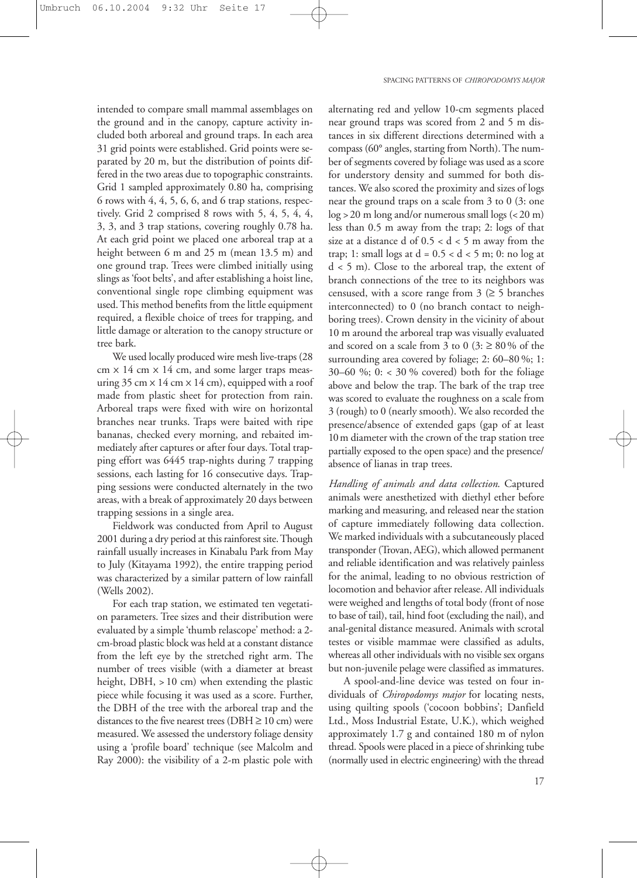intended to compare small mammal assemblages on the ground and in the canopy, capture activity included both arboreal and ground traps. In each area 31 grid points were established. Grid points were separated by 20 m, but the distribution of points differed in the two areas due to topographic constraints. Grid 1 sampled approximately 0.80 ha, comprising 6 rows with 4, 4, 5, 6, 6, and 6 trap stations, respectively. Grid 2 comprised 8 rows with 5, 4, 5, 4, 4, 3, 3, and 3 trap stations, covering roughly 0.78 ha. At each grid point we placed one arboreal trap at a height between 6 m and 25 m (mean 13.5 m) and one ground trap. Trees were climbed initially using slings as 'foot belts', and after establishing a hoist line, conventional single rope climbing equipment was used. This method benefits from the little equipment required, a flexible choice of trees for trapping, and little damage or alteration to the canopy structure or tree bark.

We used locally produced wire mesh live-traps (28  $cm \times 14$  cm  $\times 14$  cm, and some larger traps measuring  $35 \text{ cm} \times 14 \text{ cm} \times 14 \text{ cm}$ , equipped with a roof made from plastic sheet for protection from rain. Arboreal traps were fixed with wire on horizontal branches near trunks. Traps were baited with ripe bananas, checked every morning, and rebaited immediately after captures or after four days. Total trapping effort was 6445 trap-nights during 7 trapping sessions, each lasting for 16 consecutive days. Trapping sessions were conducted alternately in the two areas, with a break of approximately 20 days between trapping sessions in a single area.

Fieldwork was conducted from April to August 2001 during a dry period at this rainforest site. Though rainfall usually increases in Kinabalu Park from May to July (Kitayama 1992), the entire trapping period was characterized by a similar pattern of low rainfall (Wells 2002).

For each trap station, we estimated ten vegetation parameters. Tree sizes and their distribution were evaluated by a simple 'thumb relascope' method: a 2 cm-broad plastic block was held at a constant distance from the left eye by the stretched right arm. The number of trees visible (with a diameter at breast height, DBH, > 10 cm) when extending the plastic piece while focusing it was used as a score. Further, the DBH of the tree with the arboreal trap and the distances to the five nearest trees ( $DBH \ge 10$  cm) were measured. We assessed the understory foliage density using a 'profile board' technique (see Malcolm and Ray 2000): the visibility of a 2-m plastic pole with

alternating red and yellow 10-cm segments placed near ground traps was scored from 2 and 5 m distances in six different directions determined with a compass (60° angles, starting from North). The number of segments covered by foliage was used as a score for understory density and summed for both distances. We also scored the proximity and sizes of logs near the ground traps on a scale from 3 to 0 (3: one log >20 m long and/or numerous small logs (<20 m) less than 0.5 m away from the trap; 2: logs of that size at a distance d of  $0.5 < d < 5$  m away from the trap; 1: small logs at  $d = 0.5 < d < 5$  m; 0: no log at d < 5 m). Close to the arboreal trap, the extent of branch connections of the tree to its neighbors was censused, with a score range from  $3 \geq 5$  branches interconnected) to 0 (no branch contact to neighboring trees). Crown density in the vicinity of about 10 m around the arboreal trap was visually evaluated and scored on a scale from 3 to 0 (3:  $\geq 80\%$  of the surrounding area covered by foliage; 2: 60–80 %; 1: 30–60 %; 0: < 30 % covered) both for the foliage above and below the trap. The bark of the trap tree was scored to evaluate the roughness on a scale from 3 (rough) to 0 (nearly smooth). We also recorded the presence/absence of extended gaps (gap of at least 10m diameter with the crown of the trap station tree partially exposed to the open space) and the presence/ absence of lianas in trap trees.

*Handling of animals and data collection*. Captured animals were anesthetized with diethyl ether before marking and measuring, and released near the station of capture immediately following data collection. We marked individuals with a subcutaneously placed transponder (Trovan, AEG), which allowed permanent and reliable identification and was relatively painless for the animal, leading to no obvious restriction of locomotion and behavior after release. All individuals were weighed and lengths of total body (front of nose to base of tail), tail, hind foot (excluding the nail), and anal-genital distance measured. Animals with scrotal testes or visible mammae were classified as adults, whereas all other individuals with no visible sex organs but non-juvenile pelage were classified as immatures.

A spool-and-line device was tested on four individuals of *Chiropodomys major* for locating nests, using quilting spools ('cocoon bobbins'; Danfield Ltd., Moss Industrial Estate, U.K.), which weighed approximately 1.7 g and contained 180 m of nylon thread. Spools were placed in a piece of shrinking tube (normally used in electric engineering) with the thread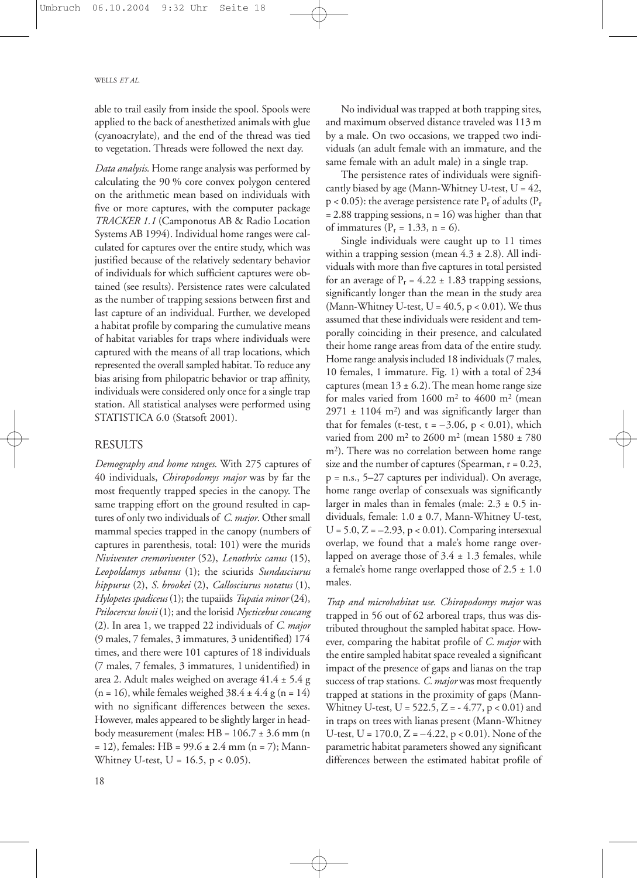able to trail easily from inside the spool. Spools were applied to the back of anesthetized animals with glue (cyanoacrylate), and the end of the thread was tied to vegetation. Threads were followed the next day.

*Data analysis*. Home range analysis was performed by calculating the 90 % core convex polygon centered on the arithmetic mean based on individuals with five or more captures, with the computer package *TRACKER 1.1* (Camponotus AB & Radio Location Systems AB 1994). Individual home ranges were calculated for captures over the entire study, which was justified because of the relatively sedentary behavior of individuals for which sufficient captures were obtained (see results). Persistence rates were calculated as the number of trapping sessions between first and last capture of an individual. Further, we developed a habitat profile by comparing the cumulative means of habitat variables for traps where individuals were captured with the means of all trap locations, which represented the overall sampled habitat. To reduce any bias arising from philopatric behavior or trap affinity, individuals were considered only once for a single trap station. All statistical analyses were performed using STATISTICA 6.0 (Statsoft 2001).

#### **RESULTS**

*Demography and home ranges*. With 275 captures of 40 individuals, *Chiropodomys major* was by far the most frequently trapped species in the canopy. The same trapping effort on the ground resulted in captures of only two individuals of *C. major*. Other small mammal species trapped in the canopy (numbers of captures in parenthesis, total: 101) were the murids *Niviventer cremoriventer* (52), *Lenothrix canus* (15), *Leopoldamys sabanus* (1); the sciurids *Sundasciurus hippurus* (2), *S. brookei* (2), *Callosciurus notatus* (1), *Hylopetes spadiceus* (1); the tupaiids *Tupaia minor* (24), *Ptilocercus lowii* (1); and the lorisid *Nycticebus coucang* (2). In area 1, we trapped 22 individuals of *C. major* (9 males, 7 females, 3 immatures, 3 unidentified) 174 times, and there were 101 captures of 18 individuals (7 males, 7 females, 3 immatures, 1 unidentified) in area 2. Adult males weighed on average 41.4 ± 5.4 g  $(n = 16)$ , while females weighed  $38.4 \pm 4.4$  g  $(n = 14)$ with no significant differences between the sexes. However, males appeared to be slightly larger in headbody measurement (males:  $HB = 106.7 \pm 3.6$  mm (n  $= 12$ ), females: HB = 99.6  $\pm$  2.4 mm (n = 7); Mann-Whitney U-test,  $U = 16.5$ ,  $p < 0.05$ ).

No individual was trapped at both trapping sites, and maximum observed distance traveled was 113 m by a male. On two occasions, we trapped two individuals (an adult female with an immature, and the same female with an adult male) in a single trap.

The persistence rates of individuals were significantly biased by age (Mann-Whitney U-test,  $U = 42$ ,  $p < 0.05$ ): the average persistence rate  $P_r$  of adults ( $P_r$  $= 2.88$  trapping sessions, n = 16) was higher than that of immatures ( $P_r = 1.33$ , n = 6).

Single individuals were caught up to 11 times within a trapping session (mean  $4.3 \pm 2.8$ ). All individuals with more than five captures in total persisted for an average of  $P_r = 4.22 \pm 1.83$  trapping sessions, significantly longer than the mean in the study area (Mann-Whitney U-test,  $U = 40.5$ ,  $p < 0.01$ ). We thus assumed that these individuals were resident and temporally coinciding in their presence, and calculated their home range areas from data of the entire study. Home range analysis included 18 individuals (7 males, 10 females, 1 immature. Fig. 1) with a total of 234 captures (mean  $13 \pm 6.2$ ). The mean home range size for males varied from  $1600 \text{ m}^2$  to  $4600 \text{ m}^2$  (mean  $2971 \pm 1104$  m<sup>2</sup>) and was significantly larger than that for females (t-test,  $t = -3.06$ ,  $p < 0.01$ ), which varied from 200 m2 to 2600 m2 (mean 1580 ± 780 m2). There was no correlation between home range size and the number of captures (Spearman,  $r = 0.23$ , p = n.s., 5–27 captures per individual). On average, home range overlap of consexuals was significantly larger in males than in females (male:  $2.3 \pm 0.5$  individuals, female: 1.0 ± 0.7, Mann-Whitney U-test,  $U = 5.0$ ,  $Z = -2.93$ ,  $p < 0.01$ ). Comparing intersexual overlap, we found that a male's home range overlapped on average those of  $3.4 \pm 1.3$  females, while a female's home range overlapped those of  $2.5 \pm 1.0$ males.

*Trap and microhabitat use*. *Chiropodomys major* was trapped in 56 out of 62 arboreal traps, thus was distributed throughout the sampled habitat space. However, comparing the habitat profile of *C. major* with the entire sampled habitat space revealed a significant impact of the presence of gaps and lianas on the trap success of trap stations. *C.major* was most frequently trapped at stations in the proximity of gaps (Mann-Whitney U-test,  $U = 522.5$ ,  $Z = -4.77$ ,  $p < 0.01$ ) and in traps on trees with lianas present (Mann-Whitney U-test,  $U = 170.0$ ,  $Z = -4.22$ ,  $p < 0.01$ ). None of the parametric habitat parameters showed any significant differences between the estimated habitat profile of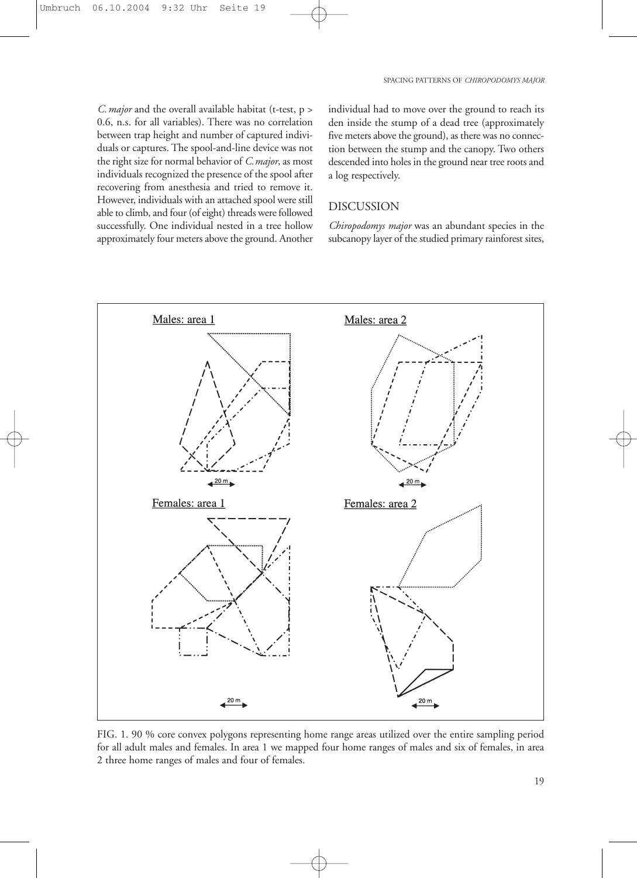*C.major* and the overall available habitat (t-test, p > 0.6, n.s. for all variables). There was no correlation between trap height and number of captured individuals or captures. The spool-and-line device was not the right size for normal behavior of *C.major*, as most individuals recognized the presence of the spool after recovering from anesthesia and tried to remove it. However, individuals with an attached spool were still able to climb, and four (of eight) threads were followed successfully. One individual nested in a tree hollow approximately four meters above the ground. Another individual had to move over the ground to reach its den inside the stump of a dead tree (approximately five meters above the ground), as there was no connection between the stump and the canopy. Two others descended into holes in the ground near tree roots and a log respectively.

## DISCUSSION

*Chiropodomys major* was an abundant species in the subcanopy layer of the studied primary rainforest sites,



FIG. 1. 90 % core convex polygons representing home range areas utilized over the entire sampling period for all adult males and females. In area 1 we mapped four home ranges of males and six of females, in area 2 three home ranges of males and four of females.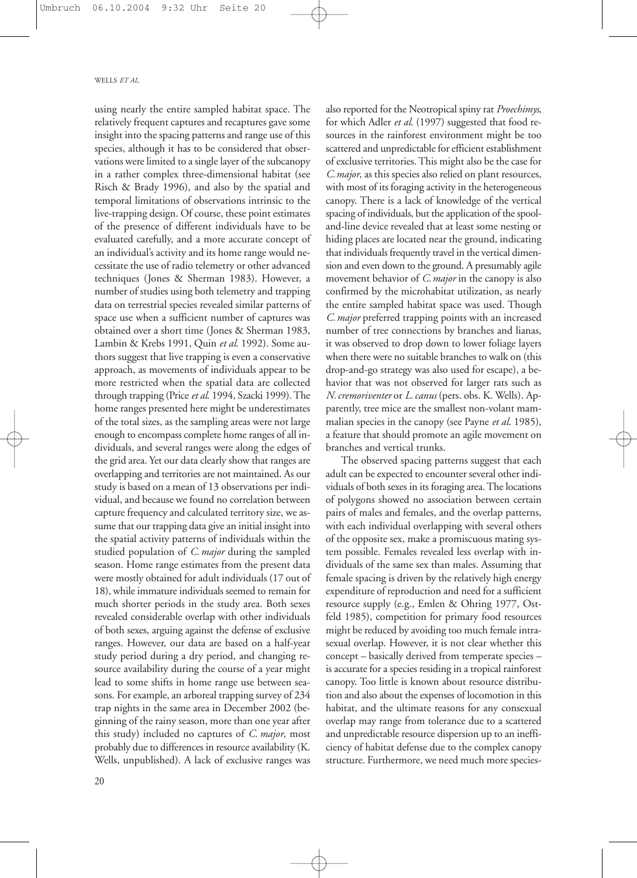using nearly the entire sampled habitat space. The relatively frequent captures and recaptures gave some insight into the spacing patterns and range use of this species, although it has to be considered that observations were limited to a single layer of the subcanopy in a rather complex three-dimensional habitat (see Risch & Brady 1996), and also by the spatial and temporal limitations of observations intrinsic to the live-trapping design. Of course, these point estimates of the presence of different individuals have to be evaluated carefully, and a more accurate concept of an individual's activity and its home range would necessitate the use of radio telemetry or other advanced techniques (Jones & Sherman 1983). However, a number of studies using both telemetry and trapping data on terrestrial species revealed similar patterns of space use when a sufficient number of captures was obtained over a short time (Jones & Sherman 1983, Lambin & Krebs 1991, Quin *et al*. 1992). Some authors suggest that live trapping is even a conservative approach, as movements of individuals appear to be more restricted when the spatial data are collected through trapping (Price *et al*. 1994, Szacki 1999). The home ranges presented here might be underestimates of the total sizes, as the sampling areas were not large enough to encompass complete home ranges of all individuals, and several ranges were along the edges of the grid area. Yet our data clearly show that ranges are overlapping and territories are not maintained. As our study is based on a mean of 13 observations per individual, and because we found no correlation between capture frequency and calculated territory size, we assume that our trapping data give an initial insight into the spatial activity patterns of individuals within the studied population of *C.major* during the sampled season. Home range estimates from the present data were mostly obtained for adult individuals (17 out of 18), while immature individuals seemed to remain for much shorter periods in the study area. Both sexes revealed considerable overlap with other individuals of both sexes, arguing against the defense of exclusive ranges. However, our data are based on a half-year study period during a dry period, and changing resource availability during the course of a year might lead to some shifts in home range use between seasons. For example, an arboreal trapping survey of 234 trap nights in the same area in December 2002 (beginning of the rainy season, more than one year after this study) included no captures of *C. major*, most probably due to differences in resource availability (K. Wells, unpublished). A lack of exclusive ranges was

20

also reported for the Neotropical spiny rat *Proechimys*, for which Adler *et al*. (1997) suggested that food resources in the rainforest environment might be too scattered and unpredictable for efficient establishment of exclusive territories. This might also be the case for *C.major*, as this species also relied on plant resources, with most of its foraging activity in the heterogeneous canopy. There is a lack of knowledge of the vertical spacing of individuals, but the application of the spooland-line device revealed that at least some nesting or hiding places are located near the ground, indicating that individuals frequently travel in the vertical dimension and even down to the ground. A presumably agile movement behavior of *C.major* in the canopy is also confirmed by the microhabitat utilization, as nearly the entire sampled habitat space was used. Though *C.major* preferred trapping points with an increased number of tree connections by branches and lianas, it was observed to drop down to lower foliage layers when there were no suitable branches to walk on (this drop-and-go strategy was also used for escape), a behavior that was not observed for larger rats such as *N.cremoriventer* or *L.canus* (pers. obs. K. Wells). Apparently, tree mice are the smallest non-volant mammalian species in the canopy (see Payne *et al*. 1985), a feature that should promote an agile movement on branches and vertical trunks.

The observed spacing patterns suggest that each adult can be expected to encounter several other individuals of both sexes in its foraging area. The locations of polygons showed no association between certain pairs of males and females, and the overlap patterns, with each individual overlapping with several others of the opposite sex, make a promiscuous mating system possible. Females revealed less overlap with individuals of the same sex than males. Assuming that female spacing is driven by the relatively high energy expenditure of reproduction and need for a sufficient resource supply (e.g., Emlen & Ohring 1977, Ostfeld 1985), competition for primary food resources might be reduced by avoiding too much female intrasexual overlap. However, it is not clear whether this concept – basically derived from temperate species – is accurate for a species residing in a tropical rainforest canopy. Too little is known about resource distribution and also about the expenses of locomotion in this habitat, and the ultimate reasons for any consexual overlap may range from tolerance due to a scattered and unpredictable resource dispersion up to an inefficiency of habitat defense due to the complex canopy structure. Furthermore, we need much more species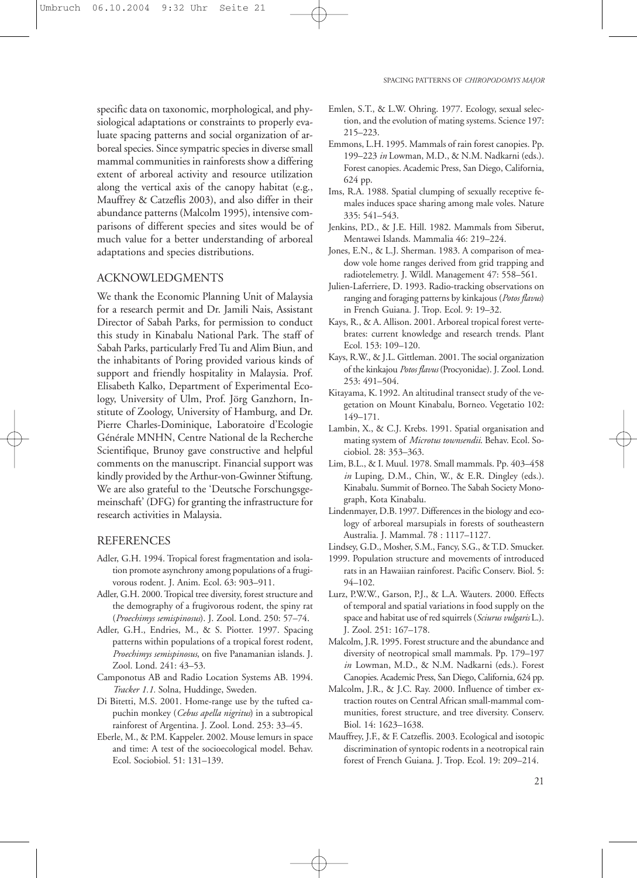specific data on taxonomic, morphological, and physiological adaptations or constraints to properly evaluate spacing patterns and social organization of arboreal species. Since sympatric species in diverse small mammal communities in rainforests show a differing extent of arboreal activity and resource utilization along the vertical axis of the canopy habitat (e.g., Mauffrey & Catzeflis 2003), and also differ in their abundance patterns (Malcolm 1995), intensive comparisons of different species and sites would be of much value for a better understanding of arboreal adaptations and species distributions.

#### ACKNOWLEDGMENTS

We thank the Economic Planning Unit of Malaysia for a research permit and Dr. Jamili Nais, Assistant Director of Sabah Parks, for permission to conduct this study in Kinabalu National Park. The staff of Sabah Parks, particularly Fred Tu and Alim Biun, and the inhabitants of Poring provided various kinds of support and friendly hospitality in Malaysia. Prof. Elisabeth Kalko, Department of Experimental Ecology, University of Ulm, Prof. Jörg Ganzhorn, Institute of Zoology, University of Hamburg, and Dr. Pierre Charles-Dominique, Laboratoire d'Ecologie Générale MNHN, Centre National de la Recherche Scientifique, Brunoy gave constructive and helpful comments on the manuscript. Financial support was kindly provided by the Arthur-von-Gwinner Stiftung. We are also grateful to the 'Deutsche Forschungsgemeinschaft' (DFG) for granting the infrastructure for research activities in Malaysia.

#### REFERENCES

- Adler, G.H. 1994. Tropical forest fragmentation and isolation promote asynchrony among populations of a frugivorous rodent. J. Anim. Ecol. 63: 903–911.
- Adler, G.H. 2000. Tropical tree diversity, forest structure and the demography of a frugivorous rodent, the spiny rat (*Proechimys semispinosus*). J. Zool. Lond. 250: 57–74.
- Adler, G.H., Endries, M., & S. Piotter. 1997. Spacing patterns within populations of a tropical forest rodent, *Proechimys semispinosus*, on five Panamanian islands. J. Zool. Lond. 241: 43–53.
- Camponotus AB and Radio Location Systems AB. 1994. *Tracker 1.1.* Solna, Huddinge, Sweden.
- Di Bitetti, M.S. 2001. Home-range use by the tufted capuchin monkey (*Cebus apella nigritus*) in a subtropical rainforest of Argentina. J. Zool. Lond. 253: 33–45.
- Eberle, M., & P.M. Kappeler. 2002. Mouse lemurs in space and time: A test of the socioecological model. Behav. Ecol. Sociobiol. 51: 131–139.
- Emlen, S.T., & L.W. Ohring. 1977. Ecology, sexual selection, and the evolution of mating systems. Science 197: 215–223.
- Emmons, L.H. 1995. Mammals of rain forest canopies. Pp. 199–223 *in* Lowman, M.D., & N.M. Nadkarni (eds.). Forest canopies. Academic Press, San Diego, California, 624 pp.
- Ims, R.A. 1988. Spatial clumping of sexually receptive females induces space sharing among male voles. Nature 335: 541–543.
- Jenkins, P.D., & J.E. Hill. 1982. Mammals from Siberut, Mentawei Islands. Mammalia 46: 219–224.
- Jones, E.N., & L.J. Sherman. 1983. A comparison of meadow vole home ranges derived from grid trapping and radiotelemetry. J. Wildl. Management 47: 558–561.
- Julien-Laferriere, D. 1993. Radio-tracking observations on ranging and foraging patterns by kinkajous (*Potos flavus*) in French Guiana. J. Trop. Ecol. 9: 19–32.
- Kays, R., & A. Allison. 2001. Arboreal tropical forest vertebrates: current knowledge and research trends. Plant Ecol. 153: 109–120.
- Kays, R.W., & J.L. Gittleman. 2001. The social organization of the kinkajou *Potos flavus* (Procyonidae). J. Zool. Lond. 253: 491–504.
- Kitayama, K.1992. An altitudinal transect study of the vegetation on Mount Kinabalu, Borneo. Vegetatio 102: 149–171.
- Lambin, X., & C.J. Krebs. 1991. Spatial organisation and mating system of *Microtus townsendii*. Behav. Ecol. Sociobiol. 28: 353–363.
- Lim, B.L., & I. Muul. 1978. Small mammals. Pp. 403–458 *in* Luping, D.M., Chin, W., & E.R. Dingley (eds.). Kinabalu. Summit of Borneo. The Sabah Society Monograph, Kota Kinabalu.
- Lindenmayer, D.B. 1997. Differences in the biology and ecology of arboreal marsupials in forests of southeastern Australia. J. Mammal. 78 : 1117–1127.
- Lindsey, G.D., Mosher, S.M., Fancy, S.G., & T.D. Smucker.
- 1999. Population structure and movements of introduced rats in an Hawaiian rainforest. Pacific Conserv. Biol. 5: 94–102.
- Lurz, P.W.W., Garson, P.J., & L.A. Wauters. 2000. Effects of temporal and spatial variations in food supply on the space and habitat use of red squirrels (*Sciurus vulgaris* L.). J. Zool. 251: 167–178.
- Malcolm, J.R. 1995. Forest structure and the abundance and diversity of neotropical small mammals. Pp. 179–197 *in* Lowman, M.D., & N.M. Nadkarni (eds.). Forest Canopies. Academic Press, San Diego, California, 624 pp.
- Malcolm, J.R., & J.C. Ray. 2000. Influence of timber extraction routes on Central African small-mammal communities, forest structure, and tree diversity. Conserv. Biol. 14: 1623–1638.
- Mauffrey, J.F., & F. Catzeflis. 2003. Ecological and isotopic discrimination of syntopic rodents in a neotropical rain forest of French Guiana. J. Trop. Ecol. 19: 209–214.